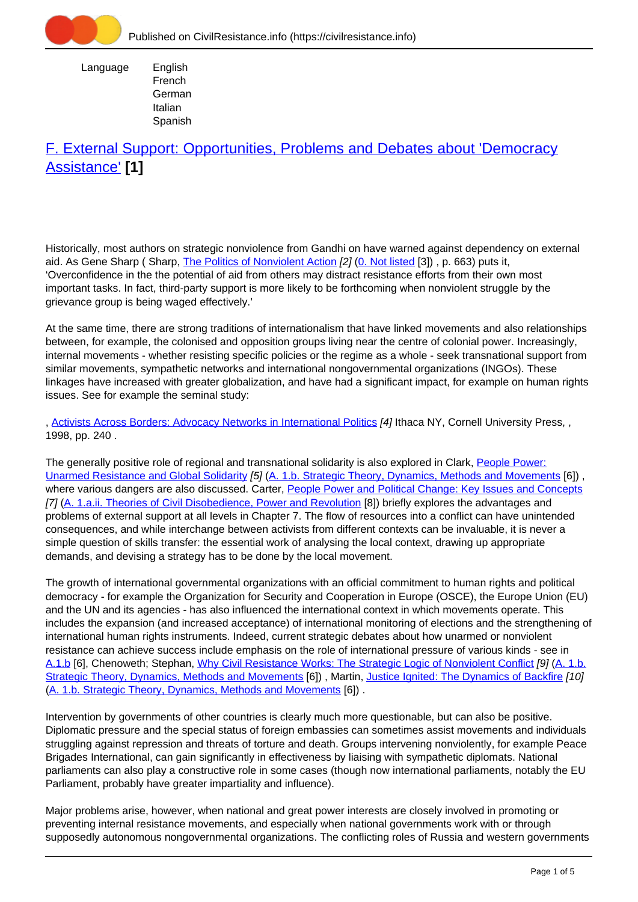

Language

French German Italian

English

Spanish

## [F. External Support: Opportunities, Problems and Debates about 'Democracy](https://civilresistance.info/section/f-external-support-opportunities-problems-and-debates-about-democracy-assistance) [Assistance'](https://civilresistance.info/section/f-external-support-opportunities-problems-and-debates-about-democracy-assistance) **[1]**

Historically, most authors on strategic nonviolence from Gandhi on have warned against dependency on external aid. As Gene Sharp ( Sharp, [The Politics of Nonviolent Action](https://civilresistance.info/biblio-item/1973/politics-nonviolent-action) [2] [\(0. Not listed](https://civilresistance.info/section/0-not-listed) [3]), p. 663) puts it, 'Overconfidence in the the potential of aid from others may distract resistance efforts from their own most important tasks. In fact, third-party support is more likely to be forthcoming when nonviolent struggle by the grievance group is being waged effectively.'

At the same time, there are strong traditions of internationalism that have linked movements and also relationships between, for example, the colonised and opposition groups living near the centre of colonial power. Increasingly, internal movements - whether resisting specific policies or the regime as a whole - seek transnational support from similar movements, sympathetic networks and international nongovernmental organizations (INGOs). These linkages have increased with greater globalization, and have had a significant impact, for example on human rights issues. See for example the seminal study:

, [Activists Across Borders: Advocacy Networks in International Politics](https://civilresistance.info/biblio-item/1998/activists-across-borders-advocacy-networks-international-politics) [4] Ithaca NY, Cornell University Press, , 1998, pp. 240 .

The generally positive role of regional and transnational solidarity is also explored in Clark, [People Power:](https://civilresistance.info/biblio-item/2009/people-power-unarmed-resistance-and-global-solidarity) [Unarmed Resistance and Global Solidarity](https://civilresistance.info/biblio-item/2009/people-power-unarmed-resistance-and-global-solidarity) [5] ([A. 1.b. Strategic Theory, Dynamics, Methods and Movements](https://civilresistance.info/section/introduction-nonviolent-action/1-theory-methods-and-examples/1b-strategic-theory-dynamics) [6]), where various dangers are also discussed. Carter, [People Power and Political Change: Key Issues and Concepts](https://civilresistance.info/biblio-item/2012/people-power-and-political-change-key-issues-and-concepts) [7] ([A. 1.a.ii. Theories of Civil Disobedience, Power and Revolution](https://civilresistance.info/section/introduction-nonviolent-action/1-theory-methods-and-examples/1aii-theories-civil) [8]) briefly explores the advantages and problems of external support at all levels in Chapter 7. The flow of resources into a conflict can have unintended consequences, and while interchange between activists from different contexts can be invaluable, it is never a simple question of skills transfer: the essential work of analysing the local context, drawing up appropriate demands, and devising a strategy has to be done by the local movement.

The growth of international governmental organizations with an official commitment to human rights and political democracy - for example the Organization for Security and Cooperation in Europe (OSCE), the Europe Union (EU) and the UN and its agencies - has also influenced the international context in which movements operate. This includes the expansion (and increased acceptance) of international monitoring of elections and the strengthening of international human rights instruments. Indeed, current strategic debates about how unarmed or nonviolent resistance can achieve success include emphasis on the role of international pressure of various kinds - see in [A.1.b](https://civilresistance.info/section/introduction-nonviolent-action/1-theory-methods-and-examples/1b-strategic-theory-dynamics) [6], Chenoweth; Stephan, [Why Civil Resistance Works: The Strategic Logic of Nonviolent Conflict](https://civilresistance.info/biblio-item/2011/why-civil-resistance-works-strategic-logic-nonviolent-conflict) [9] [\(A. 1.b.](https://civilresistance.info/section/introduction-nonviolent-action/1-theory-methods-and-examples/1b-strategic-theory-dynamics) [Strategic Theory, Dynamics, Methods and Movements](https://civilresistance.info/section/introduction-nonviolent-action/1-theory-methods-and-examples/1b-strategic-theory-dynamics) [6]), Martin, [Justice Ignited: The Dynamics of Backfire](https://civilresistance.info/biblio-item/2007/justice-ignited-dynamics-backfire) [10] ([A. 1.b. Strategic Theory, Dynamics, Methods and Movements](https://civilresistance.info/section/introduction-nonviolent-action/1-theory-methods-and-examples/1b-strategic-theory-dynamics) [6]) .

Intervention by governments of other countries is clearly much more questionable, but can also be positive. Diplomatic pressure and the special status of foreign embassies can sometimes assist movements and individuals struggling against repression and threats of torture and death. Groups intervening nonviolently, for example Peace Brigades International, can gain significantly in effectiveness by liaising with sympathetic diplomats. National parliaments can also play a constructive role in some cases (though now international parliaments, notably the EU Parliament, probably have greater impartiality and influence).

Major problems arise, however, when national and great power interests are closely involved in promoting or preventing internal resistance movements, and especially when national governments work with or through supposedly autonomous nongovernmental organizations. The conflicting roles of Russia and western governments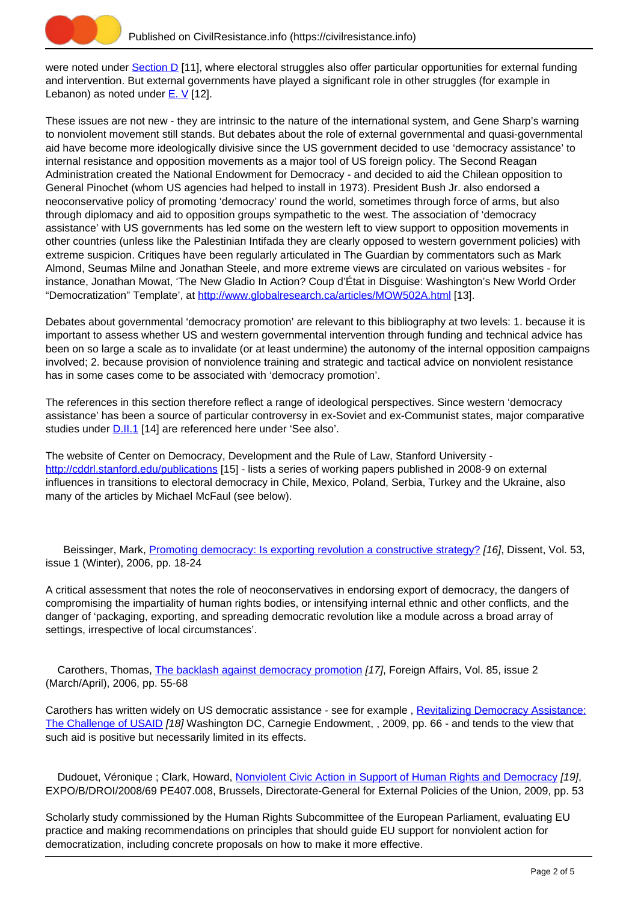

were noted under [Section D](https://civilresistance.info/section/d-resisting-authoritarianism-post-communist-and-post-soviet-regimes) [11], where electoral struggles also offer particular opportunities for external funding and intervention. But external governments have played a significant role in other struggles (for example in Lebanon) as noted under  $E. V$  [12].

These issues are not new - they are intrinsic to the nature of the international system, and Gene Sharp's warning to nonviolent movement still stands. But debates about the role of external governmental and quasi-governmental aid have become more ideologically divisive since the US government decided to use 'democracy assistance' to internal resistance and opposition movements as a major tool of US foreign policy. The Second Reagan Administration created the National Endowment for Democracy - and decided to aid the Chilean opposition to General Pinochet (whom US agencies had helped to install in 1973). President Bush Jr. also endorsed a neoconservative policy of promoting 'democracy' round the world, sometimes through force of arms, but also through diplomacy and aid to opposition groups sympathetic to the west. The association of 'democracy assistance' with US governments has led some on the western left to view support to opposition movements in other countries (unless like the Palestinian Intifada they are clearly opposed to western government policies) with extreme suspicion. Critiques have been regularly articulated in The Guardian by commentators such as Mark Almond, Seumas Milne and Jonathan Steele, and more extreme views are circulated on various websites - for instance, Jonathan Mowat, 'The New Gladio In Action? Coup d'État in Disguise: Washington's New World Order "Democratization" Template', at <http://www.globalresearch.ca/articles/MOW502A.html> [13].

Debates about governmental 'democracy promotion' are relevant to this bibliography at two levels: 1. because it is important to assess whether US and western governmental intervention through funding and technical advice has been on so large a scale as to invalidate (or at least undermine) the autonomy of the internal opposition campaigns involved; 2. because provision of nonviolence training and strategic and tactical advice on nonviolent resistance has in some cases come to be associated with 'democracy promotion'.

The references in this section therefore reflect a range of ideological perspectives. Since western 'democracy assistance' has been a source of particular controversy in ex-Soviet and ex-Communist states, major comparative studies under [D.II.1](https://civilresistance.info/section/d-resisting-authoritarianism-post-communist-and-post-soviet-regimes/d-ii-electoral-0) [14] are referenced here under 'See also'.

The website of Center on Democracy, Development and the Rule of Law, Stanford University [http://cddrl.stanford.edu/publications](http://cddrl.fsi.stanford.edu/publications) [15] - lists a series of working papers published in 2008-9 on external influences in transitions to electoral democracy in Chile, Mexico, Poland, Serbia, Turkey and the Ukraine, also many of the articles by Michael McFaul (see below).

 Beissinger, Mark, [Promoting democracy: Is exporting revolution a constructive strategy?](https://civilresistance.info/biblio-item/2006/promoting-democracy-exporting-revolution-constructive-strategy) [16], Dissent, Vol. 53, issue 1 (Winter), 2006, pp. 18-24

A critical assessment that notes the role of neoconservatives in endorsing export of democracy, the dangers of compromising the impartiality of human rights bodies, or intensifying internal ethnic and other conflicts, and the danger of 'packaging, exporting, and spreading democratic revolution like a module across a broad array of settings, irrespective of local circumstances'.

Carothers, Thomas, [The backlash against democracy promotion](https://civilresistance.info/biblio-item/2006/backlash-against-democracy-promotion) [17], Foreign Affairs, Vol. 85, issue 2 (March/April), 2006, pp. 55-68

Carothers has written widely on US democratic assistance - see for example, [Revitalizing Democracy Assistance:](https://civilresistance.info/biblio-item/2009/revitalizing-democracy-assistance-challenge-usaid) [The Challenge of USAID](https://civilresistance.info/biblio-item/2009/revitalizing-democracy-assistance-challenge-usaid) [18] Washington DC, Carnegie Endowment, , 2009, pp. 66 - and tends to the view that such aid is positive but necessarily limited in its effects.

Dudouet, Véronique ; Clark, Howard, [Nonviolent Civic Action in Support of Human Rights and Democracy](https://civilresistance.info/biblio-item/2009/nonviolent-civic-action-support-human-rights-and-democracy) [19], EXPO/B/DROI/2008/69 PE407.008, Brussels, Directorate-General for External Policies of the Union, 2009, pp. 53

Scholarly study commissioned by the Human Rights Subcommittee of the European Parliament, evaluating EU practice and making recommendations on principles that should guide EU support for nonviolent action for democratization, including concrete proposals on how to make it more effective.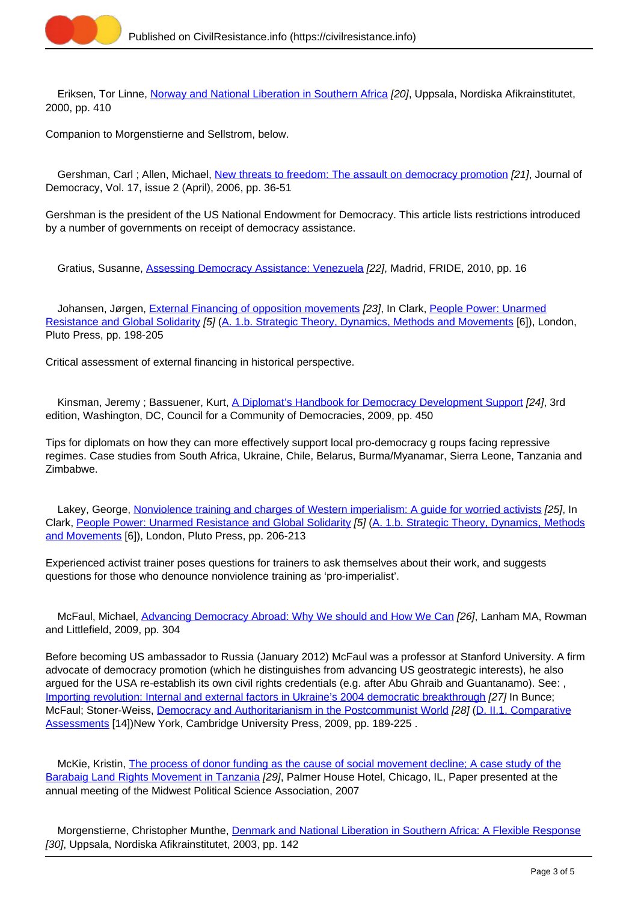

Eriksen, Tor Linne, [Norway and National Liberation in Southern Africa](https://civilresistance.info/biblio-item/2000/norway-and-national-liberation-southern-africa) [20], Uppsala, Nordiska Afikrainstitutet, 2000, pp. 410

Companion to Morgenstierne and Sellstrom, below.

Gershman, Carl; Allen, Michael, [New threats to freedom: The assault on democracy promotion](https://civilresistance.info/biblio-item/2006/new-threats-freedom-assault-democracy-promotion) [21], Journal of Democracy, Vol. 17, issue 2 (April), 2006, pp. 36-51

Gershman is the president of the US National Endowment for Democracy. This article lists restrictions introduced by a number of governments on receipt of democracy assistance.

Gratius, Susanne, [Assessing Democracy Assistance: Venezuela](https://civilresistance.info/biblio-item/2010/assessing-democracy-assistance-venezuela) [22], Madrid, FRIDE, 2010, pp. 16

Johansen, Jørgen, [External Financing of opposition movements](https://civilresistance.info/biblio-item/2009/external-financing-opposition-movements) [23], In Clark, [People Power: Unarmed](https://civilresistance.info/biblio-item/2009/people-power-unarmed-resistance-and-global-solidarity) [Resistance and Global Solidarity](https://civilresistance.info/biblio-item/2009/people-power-unarmed-resistance-and-global-solidarity) [5] [\(A. 1.b. Strategic Theory, Dynamics, Methods and Movements](https://civilresistance.info/section/introduction-nonviolent-action/1-theory-methods-and-examples/1b-strategic-theory-dynamics) [6]), London, Pluto Press, pp. 198-205

Critical assessment of external financing in historical perspective.

 Kinsman, Jeremy ; Bassuener, Kurt, [A Diplomat's Handbook for Democracy Development Support](https://civilresistance.info/biblio-item/2009/diplomats-handbook-democracy-development-support) [24], 3rd edition, Washington, DC, Council for a Community of Democracies, 2009, pp. 450

Tips for diplomats on how they can more effectively support local pro-democracy g roups facing repressive regimes. Case studies from South Africa, Ukraine, Chile, Belarus, Burma/Myanamar, Sierra Leone, Tanzania and Zimbabwe.

Lakey, George, Nonviolence training and charges of Western imperialism: A quide for worried activists [25], In Clark, [People Power: Unarmed Resistance and Global Solidarity](https://civilresistance.info/biblio-item/2009/people-power-unarmed-resistance-and-global-solidarity) [5] ([A. 1.b. Strategic Theory, Dynamics, Methods](https://civilresistance.info/section/introduction-nonviolent-action/1-theory-methods-and-examples/1b-strategic-theory-dynamics) [and Movements](https://civilresistance.info/section/introduction-nonviolent-action/1-theory-methods-and-examples/1b-strategic-theory-dynamics) [6]), London, Pluto Press, pp. 206-213

Experienced activist trainer poses questions for trainers to ask themselves about their work, and suggests questions for those who denounce nonviolence training as 'pro-imperialist'.

 McFaul, Michael, [Advancing Democracy Abroad: Why We should and How We Can](https://civilresistance.info/biblio-item/2009/advancing-democracy-abroad-why-we-should-and-how-we-can) [26], Lanham MA, Rowman and Littlefield, 2009, pp. 304

Before becoming US ambassador to Russia (January 2012) McFaul was a professor at Stanford University. A firm advocate of democracy promotion (which he distinguishes from advancing US geostrategic interests), he also argued for the USA re-establish its own civil rights credentials (e.g. after Abu Ghraib and Guantanamo). See: , [Importing revolution: Internal and external factors in Ukraine's 2004 democratic breakthrough](https://civilresistance.info/biblio-item/2009/importing-revolution-internal-and-external-factors-ukraines-2004-democratic-0) [27] In Bunce; McFaul; Stoner-Weiss, [Democracy and Authoritarianism in the Postcommunist World](https://civilresistance.info/biblio-item/2009/democracy-and-authoritarianism-postcommunist-world) [28] [\(D. II.1. Comparative](https://civilresistance.info/section/d-resisting-authoritarianism-post-communist-and-post-soviet-regimes/d-ii-electoral-0) [Assessments](https://civilresistance.info/section/d-resisting-authoritarianism-post-communist-and-post-soviet-regimes/d-ii-electoral-0) [14])New York, Cambridge University Press, 2009, pp. 189-225 .

 McKie, Kristin, [The process of donor funding as the cause of social movement decline; A case study of the](https://civilresistance.info/biblio-item/2007/process-donor-funding-cause-social-movement-decline-case-study-barabaig-land-rights) [Barabaig Land Rights Movement in Tanzania](https://civilresistance.info/biblio-item/2007/process-donor-funding-cause-social-movement-decline-case-study-barabaig-land-rights) [29], Palmer House Hotel, Chicago, IL, Paper presented at the annual meeting of the Midwest Political Science Association, 2007

 Morgenstierne, Christopher Munthe, [Denmark and National Liberation in Southern Africa: A Flexible Response](https://civilresistance.info/biblio-item/2003/denmark-and-national-liberation-southern-africa-flexible-response) [30], Uppsala, Nordiska Afikrainstitutet, 2003, pp. 142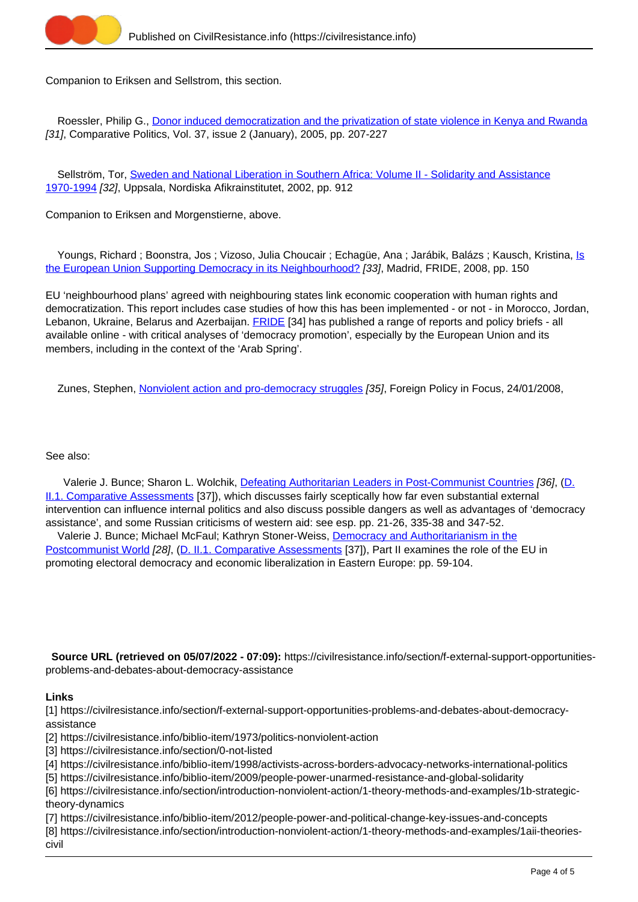

Companion to Eriksen and Sellstrom, this section.

Roessler, Philip G., [Donor induced democratization and the privatization of state violence in Kenya and Rwanda](https://civilresistance.info/biblio-item/2005/donor-induced-democratization-and-privatization-state-violence-kenya-and-rwanda) [31], Comparative Politics, Vol. 37, issue 2 (January), 2005, pp. 207-227

 Sellström, Tor, [Sweden and National Liberation in Southern Africa: Volume II - Solidarity and Assistance](https://civilresistance.info/biblio-item/2002/sweden-and-national-liberation-southern-africa-volume-ii-solidarity-and-assistance) [1970-1994](https://civilresistance.info/biblio-item/2002/sweden-and-national-liberation-southern-africa-volume-ii-solidarity-and-assistance) [32], Uppsala, Nordiska Afikrainstitutet, 2002, pp. 912

Companion to Eriksen and Morgenstierne, above.

 Youngs, Richard ; Boonstra, Jos ; Vizoso, Julia Choucair ; Echagüe, Ana ; Jarábik, Balázs ; Kausch, Kristina, [Is](https://civilresistance.info/biblio-item/2008/european-union-supporting-democracy-its-neighbourhood) [the European Union Supporting Democracy in its Neighbourhood?](https://civilresistance.info/biblio-item/2008/european-union-supporting-democracy-its-neighbourhood) [33], Madrid, FRIDE, 2008, pp. 150

EU 'neighbourhood plans' agreed with neighbouring states link economic cooperation with human rights and democratization. This report includes case studies of how this has been implemented - or not - in Morocco, Jordan, Lebanon, Ukraine, Belarus and Azerbaijan. [FRIDE](http://fride.org/publications) [34] has published a range of reports and policy briefs - all available online - with critical analyses of 'democracy promotion', especially by the European Union and its members, including in the context of the 'Arab Spring'.

Zunes, Stephen, [Nonviolent action and pro-democracy struggles](https://civilresistance.info/biblio-item/2008/nonviolent-action-and-pro-democracy-struggles) [35], Foreign Policy in Focus, 24/01/2008,

## See also:

Valerie J. Bunce; Sharon L. Wolchik, [Defeating Authoritarian Leaders in Post-Communist Countries](https://civilresistance.info/biblio-item/2011/defeating-authoritarian-leaders-post-communist-countries) [36], (D. II.1. Comparative Assessments [37]), which discusses fairly sceptically how far even substantial external intervention can influence internal politics and also discuss possible dangers as well as advantages of 'democracy assistance', and some Russian criticisms of western aid: see esp. pp. 21-26, 335-38 and 347-52.

Valerie J. Bunce; Michael McFaul; Kathryn Stoner-Weiss, [Democracy and Authoritarianism in the](https://civilresistance.info/biblio-item/2009/democracy-and-authoritarianism-postcommunist-world) [Postcommunist World](https://civilresistance.info/biblio-item/2009/democracy-and-authoritarianism-postcommunist-world) [28], (D. II.1. Comparative Assessments [37]), Part II examines the role of the EU in promoting electoral democracy and economic liberalization in Eastern Europe: pp. 59-104.

 **Source URL (retrieved on 05/07/2022 - 07:09):** https://civilresistance.info/section/f-external-support-opportunitiesproblems-and-debates-about-democracy-assistance

## **Links**

[1] https://civilresistance.info/section/f-external-support-opportunities-problems-and-debates-about-democracyassistance

[2] https://civilresistance.info/biblio-item/1973/politics-nonviolent-action

[3] https://civilresistance.info/section/0-not-listed

[4] https://civilresistance.info/biblio-item/1998/activists-across-borders-advocacy-networks-international-politics

[5] https://civilresistance.info/biblio-item/2009/people-power-unarmed-resistance-and-global-solidarity

[6] https://civilresistance.info/section/introduction-nonviolent-action/1-theory-methods-and-examples/1b-strategictheory-dynamics

[7] https://civilresistance.info/biblio-item/2012/people-power-and-political-change-key-issues-and-concepts

[8] https://civilresistance.info/section/introduction-nonviolent-action/1-theory-methods-and-examples/1aii-theoriescivil